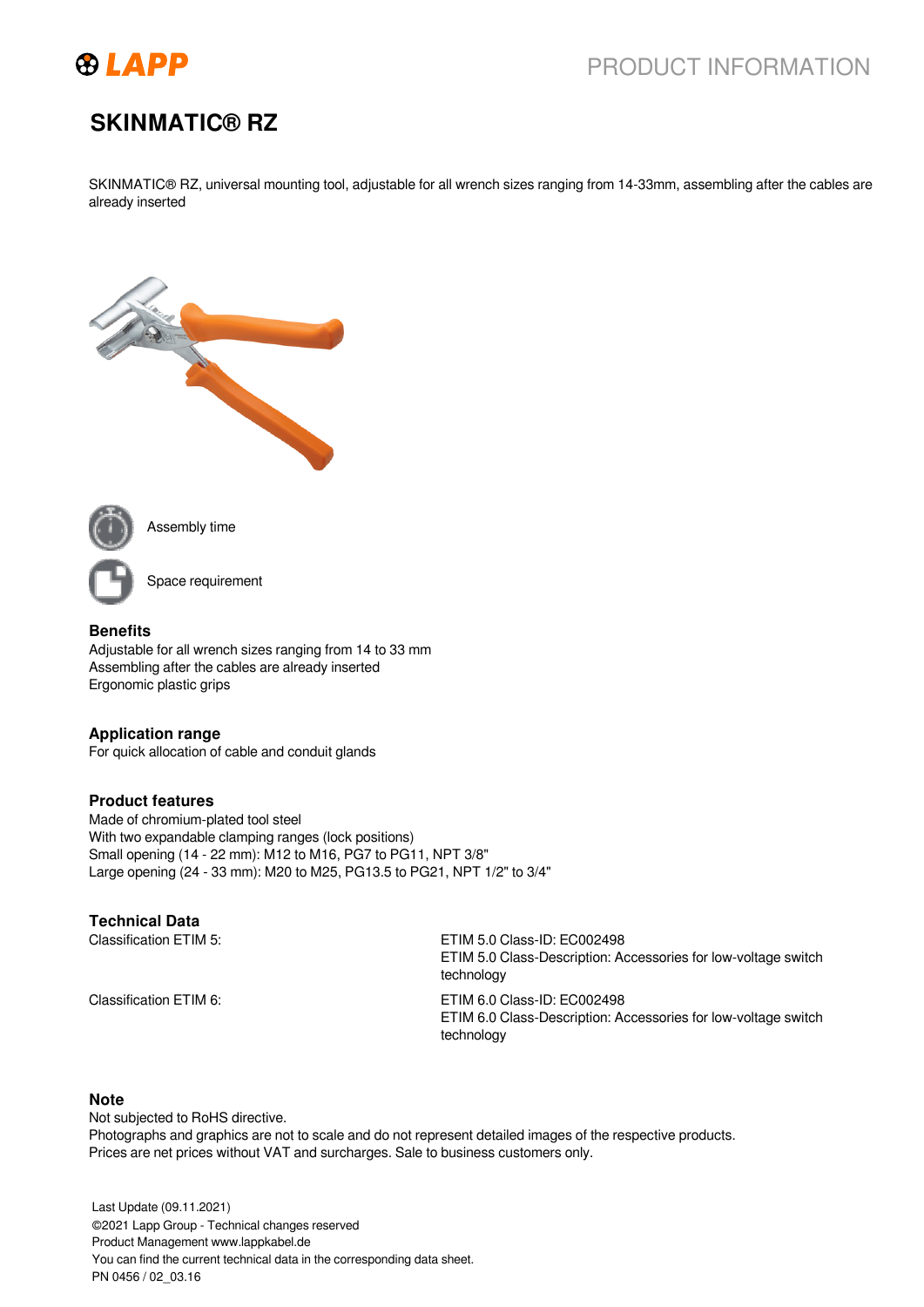

# PRODUCT INFORMATION

# **SKINMATIC® RZ**

SKINMATIC® RZ, universal mounting tool, adjustable for all wrench sizes ranging from 14-33mm, assembling after the cables are already inserted





Assembly time

Space requirement

#### **Benefits**

Adjustable for all wrench sizes ranging from 14 to 33 mm Assembling after the cables are already inserted Ergonomic plastic grips

#### **Application range**

For quick allocation of cable and conduit glands

### **Product features**

Made of chromium-plated tool steel With two expandable clamping ranges (lock positions) Small opening (14 - 22 mm): M12 to M16, PG7 to PG11, NPT 3/8" Large opening (24 - 33 mm): M20 to M25, PG13.5 to PG21, NPT 1/2" to 3/4"

### **Technical Data**

Classification ETIM 5: ECOO2498

ETIM 5.0 Class-Description: Accessories for low-voltage switch technology Classification ETIM 6: ETIM 6.0 Class-ID: EC002498 ETIM 6.0 Class-Description: Accessories for low-voltage switch technology

#### **Note**

Not subjected to RoHS directive. Photographs and graphics are not to scale and do not represent detailed images of the respective products. Prices are net prices without VAT and surcharges. Sale to business customers only.

Last Update (09.11.2021) 1 / 2 ©2021 Lapp Group - Technical changes reserved Product Management www.lappkabel.de You can find the current technical data in the corresponding data sheet. PN 0456 / 02\_03.16